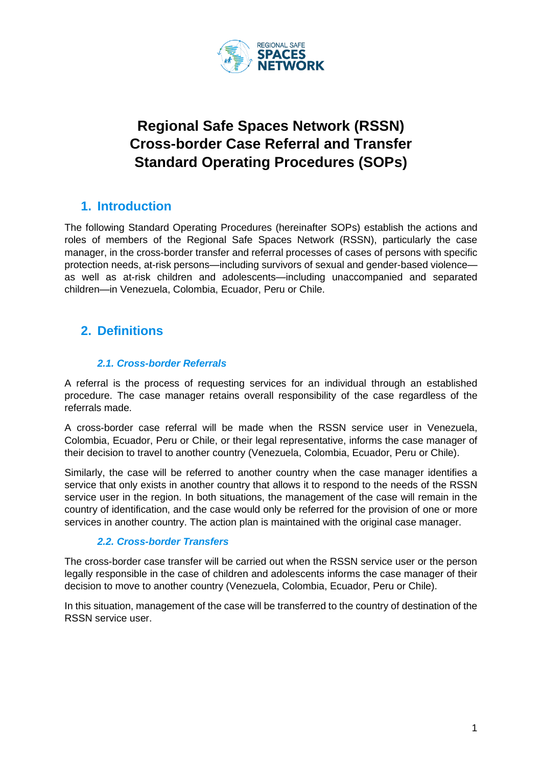

# **Regional Safe Spaces Network (RSSN) Cross-border Case Referral and Transfer Standard Operating Procedures (SOPs)**

## **1. Introduction**

The following Standard Operating Procedures (hereinafter SOPs) establish the actions and roles of members of the Regional Safe Spaces Network (RSSN), particularly the case manager, in the cross-border transfer and referral processes of cases of persons with specific protection needs, at-risk persons—including survivors of sexual and gender-based violence as well as at-risk children and adolescents—including unaccompanied and separated children—in Venezuela, Colombia, Ecuador, Peru or Chile.

# **2. Definitions**

### *2.1. Cross-border Referrals*

A referral is the process of requesting services for an individual through an established procedure. The case manager retains overall responsibility of the case regardless of the referrals made.

A cross-border case referral will be made when the RSSN service user in Venezuela, Colombia, Ecuador, Peru or Chile, or their legal representative, informs the case manager of their decision to travel to another country (Venezuela, Colombia, Ecuador, Peru or Chile).

Similarly, the case will be referred to another country when the case manager identifies a service that only exists in another country that allows it to respond to the needs of the RSSN service user in the region. In both situations, the management of the case will remain in the country of identification, and the case would only be referred for the provision of one or more services in another country. The action plan is maintained with the original case manager.

#### *2.2. Cross-border Transfers*

The cross-border case transfer will be carried out when the RSSN service user or the person legally responsible in the case of children and adolescents informs the case manager of their decision to move to another country (Venezuela, Colombia, Ecuador, Peru or Chile).

In this situation, management of the case will be transferred to the country of destination of the RSSN service user.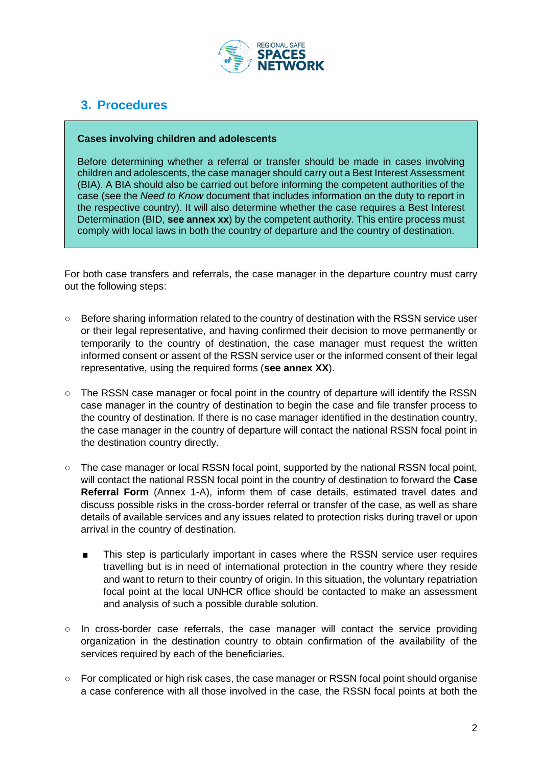

# **3. Procedures**

#### **Cases involving children and adolescents**

Before determining whether a referral or transfer should be made in cases involving children and adolescents, the case manager should carry out a Best Interest Assessment (BIA). A BIA should also be carried out before informing the competent authorities of the case (see the *Need to Know* document that includes information on the duty to report in the respective country). It will also determine whether the case requires a Best Interest Determination (BID, **see annex xx**) by the competent authority. This entire process must comply with local laws in both the country of departure and the country of destination.

For both case transfers and referrals, the case manager in the departure country must carry out the following steps:

- Before sharing information related to the country of destination with the RSSN service user or their legal representative, and having confirmed their decision to move permanently or temporarily to the country of destination, the case manager must request the written informed consent or assent of the RSSN service user or the informed consent of their legal representative, using the required forms (**see annex XX**).
- The RSSN case manager or focal point in the country of departure will identify the RSSN case manager in the country of destination to begin the case and file transfer process to the country of destination. If there is no case manager identified in the destination country, the case manager in the country of departure will contact the national RSSN focal point in the destination country directly.
- The case manager or local RSSN focal point, supported by the national RSSN focal point, will contact the national RSSN focal point in the country of destination to forward the **Case Referral Form** (Annex 1-A), inform them of case details, estimated travel dates and discuss possible risks in the cross-border referral or transfer of the case, as well as share details of available services and any issues related to protection risks during travel or upon arrival in the country of destination.
	- This step is particularly important in cases where the RSSN service user requires travelling but is in need of international protection in the country where they reside and want to return to their country of origin. In this situation, the voluntary repatriation focal point at the local UNHCR office should be contacted to make an assessment and analysis of such a possible durable solution.
- In cross-border case referrals, the case manager will contact the service providing organization in the destination country to obtain confirmation of the availability of the services required by each of the beneficiaries.
- For complicated or high risk cases, the case manager or RSSN focal point should organise a case conference with all those involved in the case, the RSSN focal points at both the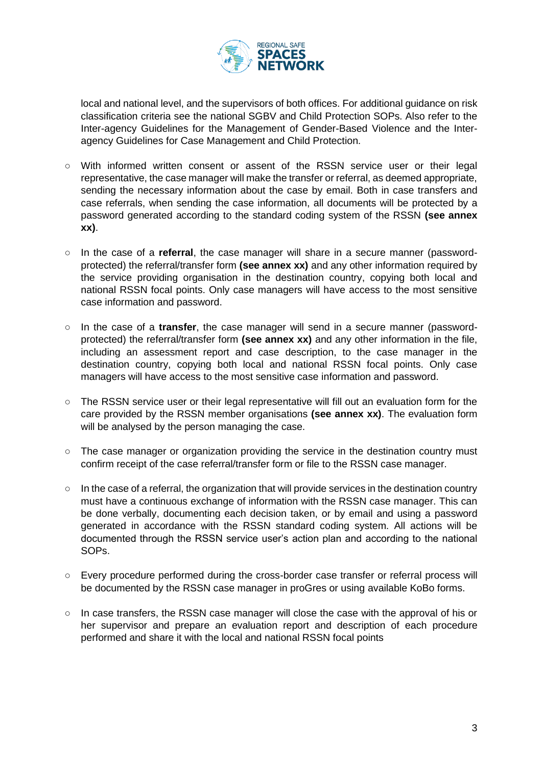

local and national level, and the supervisors of both offices. For additional guidance on risk classification criteria see the national SGBV and Child Protection SOPs. Also refer to the Inter-agency Guidelines for the Management of Gender-Based Violence and the Interagency Guidelines for Case Management and Child Protection.

- With informed written consent or assent of the RSSN service user or their legal representative, the case manager will make the transfer or referral, as deemed appropriate, sending the necessary information about the case by email. Both in case transfers and case referrals, when sending the case information, all documents will be protected by a password generated according to the standard coding system of the RSSN **(see annex xx)**.
- In the case of a **referral**, the case manager will share in a secure manner (passwordprotected) the referral/transfer form **(see annex xx)** and any other information required by the service providing organisation in the destination country, copying both local and national RSSN focal points. Only case managers will have access to the most sensitive case information and password.
- In the case of a **transfer**, the case manager will send in a secure manner (passwordprotected) the referral/transfer form **(see annex xx)** and any other information in the file, including an assessment report and case description, to the case manager in the destination country, copying both local and national RSSN focal points. Only case managers will have access to the most sensitive case information and password.
- The RSSN service user or their legal representative will fill out an evaluation form for the care provided by the RSSN member organisations **(see annex xx)**. The evaluation form will be analysed by the person managing the case.
- The case manager or organization providing the service in the destination country must confirm receipt of the case referral/transfer form or file to the RSSN case manager.
- In the case of a referral, the organization that will provide services in the destination country must have a continuous exchange of information with the RSSN case manager. This can be done verbally, documenting each decision taken, or by email and using a password generated in accordance with the RSSN standard coding system. All actions will be documented through the RSSN service user's action plan and according to the national SOPs.
- Every procedure performed during the cross-border case transfer or referral process will be documented by the RSSN case manager in proGres or using available KoBo forms.
- In case transfers, the RSSN case manager will close the case with the approval of his or her supervisor and prepare an evaluation report and description of each procedure performed and share it with the local and national RSSN focal points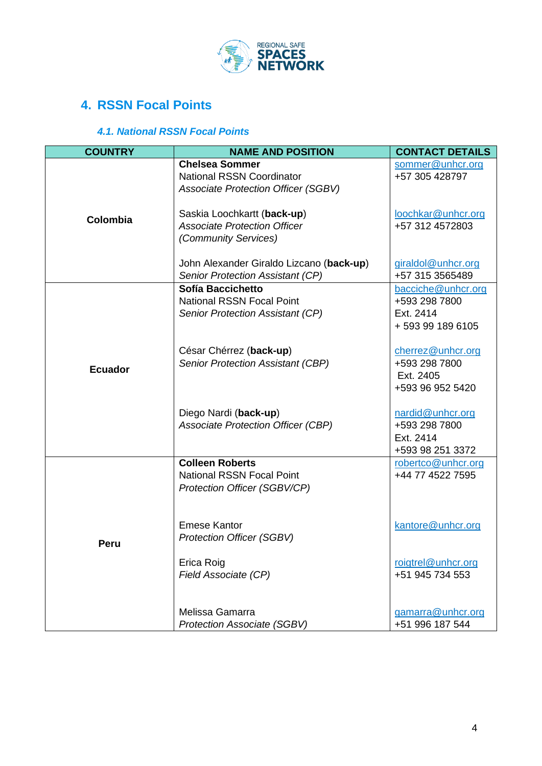

# **4. RSSN Focal Points**

### *4.1. National RSSN Focal Points*

| <b>COUNTRY</b> | <b>NAME AND POSITION</b>                                                                                | <b>CONTACT DETAILS</b>                                              |
|----------------|---------------------------------------------------------------------------------------------------------|---------------------------------------------------------------------|
| Colombia       | <b>Chelsea Sommer</b><br><b>National RSSN Coordinator</b><br><b>Associate Protection Officer (SGBV)</b> | sommer@unhcr.org<br>+57 305 428797                                  |
|                | Saskia Loochkartt (back-up)<br><b>Associate Protection Officer</b><br>(Community Services)              | loochkar@unhcr.org<br>+57 312 4572803                               |
|                | John Alexander Giraldo Lizcano (back-up)<br>Senior Protection Assistant (CP)                            | giraldol@unhcr.org<br>+57 315 3565489                               |
| <b>Ecuador</b> | Sofía Baccichetto<br><b>National RSSN Focal Point</b><br>Senior Protection Assistant (CP)               | bacciche@unhcr.org<br>+593 298 7800<br>Ext. 2414<br>+593991896105   |
|                | César Chérrez (back-up)<br>Senior Protection Assistant (CBP)                                            | cherrez@unhcr.org<br>+593 298 7800<br>Ext. 2405<br>+593 96 952 5420 |
|                | Diego Nardi (back-up)<br><b>Associate Protection Officer (CBP)</b>                                      | nardid@unhcr.org<br>+593 298 7800<br>Ext. 2414<br>+593 98 251 3372  |
| Peru           | <b>Colleen Roberts</b><br><b>National RSSN Focal Point</b><br>Protection Officer (SGBV/CP)              | robertco@unhcr.org<br>+44 77 4522 7595                              |
|                | <b>Emese Kantor</b><br><b>Protection Officer (SGBV)</b>                                                 | kantore@unhcr.org                                                   |
|                | Erica Roig<br>Field Associate (CP)                                                                      | roigtrel@unhcr.org<br>+51 945 734 553                               |
|                | Melissa Gamarra<br><b>Protection Associate (SGBV)</b>                                                   | gamarra@unhcr.org<br>+51 996 187 544                                |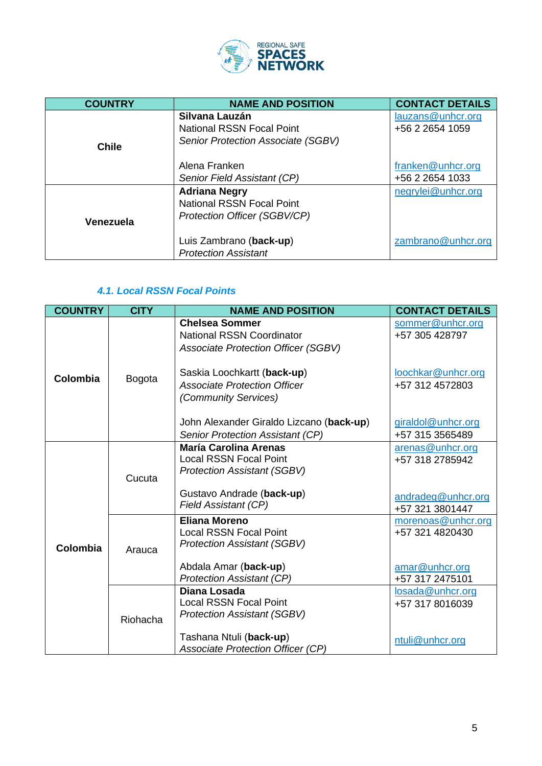

| <b>COUNTRY</b> | <b>NAME AND POSITION</b>                           | <b>CONTACT DETAILS</b>               |
|----------------|----------------------------------------------------|--------------------------------------|
|                | Silvana Lauzán<br><b>National RSSN Focal Point</b> | lauzans@unhcr.org<br>+56 2 2654 1059 |
| <b>Chile</b>   | Senior Protection Associate (SGBV)                 |                                      |
|                | Alena Franken                                      | franken@unhcr.org                    |
|                | Senior Field Assistant (CP)                        | +56 2 2654 1033                      |
|                | <b>Adriana Negry</b>                               | negrylei@unhcr.org                   |
|                | <b>National RSSN Focal Point</b>                   |                                      |
| Venezuela      | Protection Officer (SGBV/CP)                       |                                      |
|                | Luis Zambrano (back-up)                            | zambrano@unhcr.org                   |
|                | <b>Protection Assistant</b>                        |                                      |

### *4.1. Local RSSN Focal Points*

| <b>COUNTRY</b> | <b>CITY</b>   | <b>NAME AND POSITION</b>                                                                                | <b>CONTACT DETAILS</b>                |
|----------------|---------------|---------------------------------------------------------------------------------------------------------|---------------------------------------|
|                |               | <b>Chelsea Sommer</b><br><b>National RSSN Coordinator</b><br><b>Associate Protection Officer (SGBV)</b> | sommer@unhcr.org<br>+57 305 428797    |
| Colombia       | <b>Bogota</b> | Saskia Loochkartt (back-up)<br><b>Associate Protection Officer</b><br>(Community Services)              | loochkar@unhcr.org<br>+57 312 4572803 |
|                |               | John Alexander Giraldo Lizcano (back-up)<br>Senior Protection Assistant (CP)                            | giraldol@unhcr.org<br>+57 315 3565489 |
|                | Cucuta        | <b>María Carolina Arenas</b><br><b>Local RSSN Focal Point</b><br><b>Protection Assistant (SGBV)</b>     | arenas@unhcr.org<br>+57 318 2785942   |
| Colombia       |               | Gustavo Andrade (back-up)<br><b>Field Assistant (CP)</b>                                                | andradeg@unhcr.org<br>+57 321 3801447 |
|                | Arauca        | <b>Eliana Moreno</b><br><b>Local RSSN Focal Point</b><br><b>Protection Assistant (SGBV)</b>             | morenoas@unhcr.org<br>+57 321 4820430 |
|                |               | Abdala Amar (back-up)<br><b>Protection Assistant (CP)</b>                                               | amar@unhcr.org<br>+57 317 2475101     |
|                | Riohacha      | Diana Losada<br><b>Local RSSN Focal Point</b><br><b>Protection Assistant (SGBV)</b>                     | losada@unhcr.org<br>+57 317 8016039   |
|                |               | Tashana Ntuli (back-up)<br><b>Associate Protection Officer (CP)</b>                                     | ntuli@unhcr.org                       |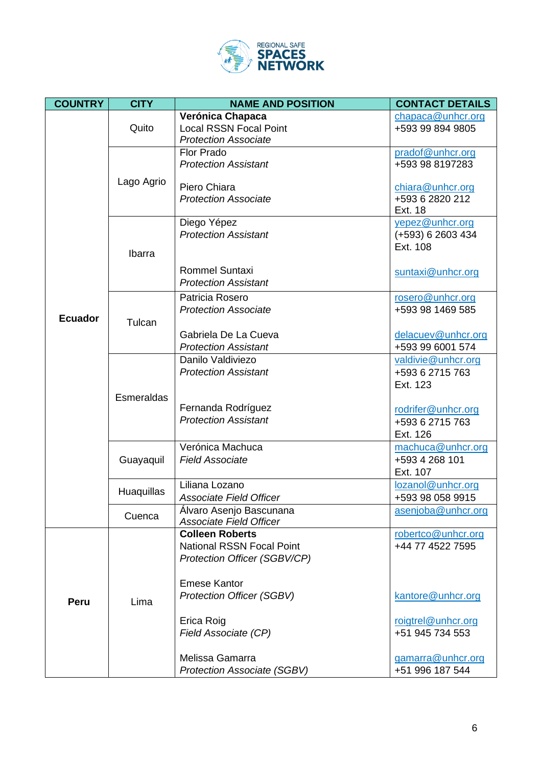

| <b>COUNTRY</b> | <b>CITY</b> | <b>NAME AND POSITION</b>                                     | <b>CONTACT DETAILS</b>                 |
|----------------|-------------|--------------------------------------------------------------|----------------------------------------|
|                |             | Verónica Chapaca                                             | chapaca@unhcr.org                      |
|                | Quito       | <b>Local RSSN Focal Point</b><br><b>Protection Associate</b> | +593 99 894 9805                       |
|                |             | Flor Prado                                                   | pradof@unhcr.org                       |
|                |             | <b>Protection Assistant</b>                                  | +593 98 8197283                        |
|                | Lago Agrio  |                                                              |                                        |
|                |             | Piero Chiara<br><b>Protection Associate</b>                  | chiara@unhcr.org<br>+593 6 2820 212    |
|                |             |                                                              | Ext. 18                                |
|                |             | Diego Yépez                                                  | yepez@unhcr.org                        |
|                |             | <b>Protection Assistant</b>                                  | (+593) 6 2603 434                      |
|                | Ibarra      |                                                              | Ext. 108                               |
|                |             | <b>Rommel Suntaxi</b>                                        | suntaxi@unhcr.org                      |
|                |             | <b>Protection Assistant</b>                                  |                                        |
|                |             | Patricia Rosero                                              | rosero@unhcr.org                       |
| <b>Ecuador</b> |             | <b>Protection Associate</b>                                  | +593 98 1469 585                       |
|                | Tulcan      | Gabriela De La Cueva                                         | delacuev@unhcr.org                     |
|                |             | <b>Protection Assistant</b>                                  | +593 99 6001 574                       |
|                |             | Danilo Valdiviezo                                            | valdivie@unhcr.org                     |
|                |             | <b>Protection Assistant</b>                                  | +593 6 2715 763                        |
|                |             |                                                              | Ext. 123                               |
|                | Esmeraldas  | Fernanda Rodríguez                                           | rodrifer@unhcr.org                     |
|                |             | <b>Protection Assistant</b>                                  | +593 6 2715 763                        |
|                |             |                                                              | Ext. 126                               |
|                |             | Verónica Machuca                                             | machuca@unhcr.org                      |
|                | Guayaquil   | <b>Field Associate</b>                                       | +593 4 268 101                         |
|                |             | Liliana Lozano                                               | Ext. 107                               |
|                | Huaquillas  | <b>Associate Field Officer</b>                               | lozanol@unhcr.org<br>+593 98 058 9915  |
|                |             | Alvaro Asenjo Bascunana                                      | asenjoba@unhcr.org                     |
|                | Cuenca      | <b>Associate Field Officer</b>                               |                                        |
|                | Lima        | <b>Colleen Roberts</b><br><b>National RSSN Focal Point</b>   | robertco@unhcr.org<br>+44 77 4522 7595 |
|                |             | Protection Officer (SGBV/CP)                                 |                                        |
|                |             |                                                              |                                        |
|                |             | <b>Emese Kantor</b>                                          |                                        |
| Peru           |             | <b>Protection Officer (SGBV)</b>                             | kantore@unhcr.org                      |
|                |             | Erica Roig                                                   | roigtrel@unhcr.org                     |
|                |             | Field Associate (CP)                                         | +51 945 734 553                        |
|                |             |                                                              |                                        |
|                |             | Melissa Gamarra                                              | gamarra@unhcr.org                      |
|                |             | <b>Protection Associate (SGBV)</b>                           | +51 996 187 544                        |